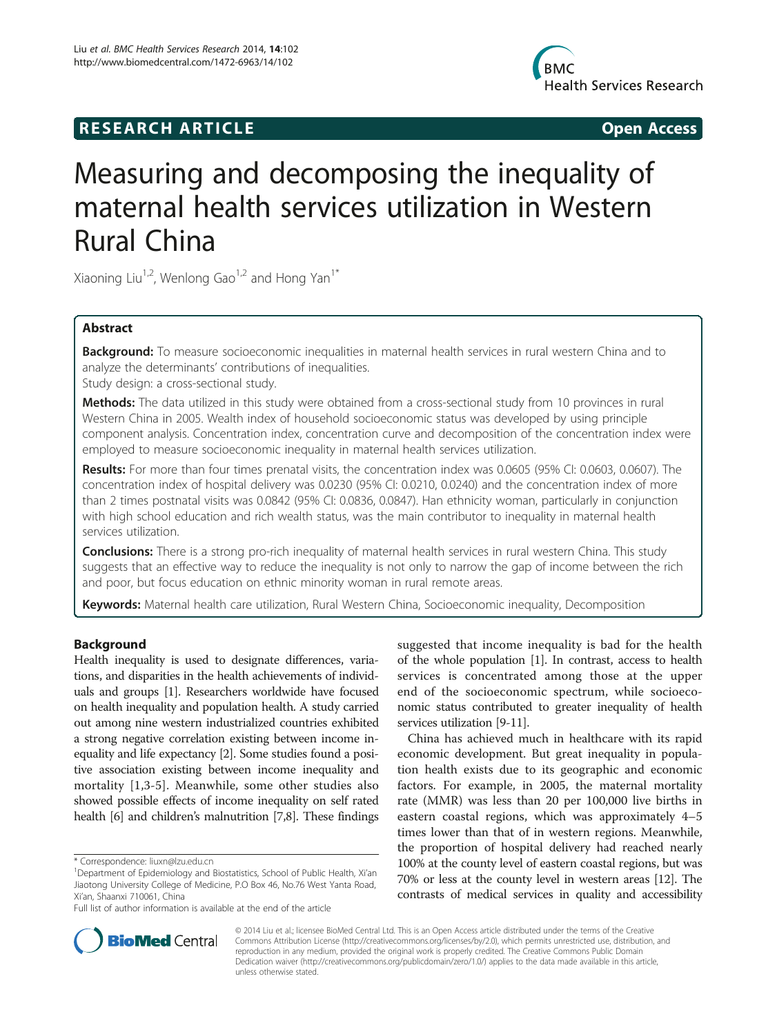## **RESEARCH ARTICLE Example 2014 CONSIDERING CONSIDERING CONSIDERING CONSIDERING CONSIDERING CONSIDERING CONSIDERING CONSIDERING CONSIDERING CONSIDERING CONSIDERING CONSIDERING CONSIDERING CONSIDERING CONSIDERING CONSIDE**



# Measuring and decomposing the inequality of maternal health services utilization in Western Rural China

Xiaoning Liu<sup>1,2</sup>, Wenlong Gao<sup>1,2</sup> and Hong Yan<sup>1\*</sup>

## Abstract

Background: To measure socioeconomic inequalities in maternal health services in rural western China and to analyze the determinants' contributions of inequalities.

Study design: a cross-sectional study.

Methods: The data utilized in this study were obtained from a cross-sectional study from 10 provinces in rural Western China in 2005. Wealth index of household socioeconomic status was developed by using principle component analysis. Concentration index, concentration curve and decomposition of the concentration index were employed to measure socioeconomic inequality in maternal health services utilization.

Results: For more than four times prenatal visits, the concentration index was 0.0605 (95% CI: 0.0603, 0.0607). The concentration index of hospital delivery was 0.0230 (95% CI: 0.0210, 0.0240) and the concentration index of more than 2 times postnatal visits was 0.0842 (95% CI: 0.0836, 0.0847). Han ethnicity woman, particularly in conjunction with high school education and rich wealth status, was the main contributor to inequality in maternal health services utilization.

**Conclusions:** There is a strong pro-rich inequality of maternal health services in rural western China. This study suggests that an effective way to reduce the inequality is not only to narrow the gap of income between the rich and poor, but focus education on ethnic minority woman in rural remote areas.

Keywords: Maternal health care utilization, Rural Western China, Socioeconomic inequality, Decomposition

## Background

Health inequality is used to designate differences, variations, and disparities in the health achievements of individuals and groups [[1\]](#page-5-0). Researchers worldwide have focused on health inequality and population health. A study carried out among nine western industrialized countries exhibited a strong negative correlation existing between income inequality and life expectancy [\[2\]](#page-5-0). Some studies found a positive association existing between income inequality and mortality [[1,3-5](#page-5-0)]. Meanwhile, some other studies also showed possible effects of income inequality on self rated health [\[6\]](#page-5-0) and children's malnutrition [\[7,8\]](#page-5-0). These findings

suggested that income inequality is bad for the health of the whole population [[1\]](#page-5-0). In contrast, access to health services is concentrated among those at the upper end of the socioeconomic spectrum, while socioeconomic status contributed to greater inequality of health services utilization [\[9-11\]](#page-5-0).

China has achieved much in healthcare with its rapid economic development. But great inequality in population health exists due to its geographic and economic factors. For example, in 2005, the maternal mortality rate (MMR) was less than 20 per 100,000 live births in eastern coastal regions, which was approximately 4–5 times lower than that of in western regions. Meanwhile, the proportion of hospital delivery had reached nearly 100% at the county level of eastern coastal regions, but was 70% or less at the county level in western areas [[12](#page-5-0)]. The contrasts of medical services in quality and accessibility



© 2014 Liu et al.; licensee BioMed Central Ltd. This is an Open Access article distributed under the terms of the Creative Commons Attribution License [\(http://creativecommons.org/licenses/by/2.0\)](http://creativecommons.org/licenses/by/2.0), which permits unrestricted use, distribution, and reproduction in any medium, provided the original work is properly credited. The Creative Commons Public Domain Dedication waiver [\(http://creativecommons.org/publicdomain/zero/1.0/](http://creativecommons.org/publicdomain/zero/1.0/)) applies to the data made available in this article, unless otherwise stated.

<sup>\*</sup> Correspondence: [liuxn@lzu.edu.cn](mailto:liuxn@lzu.edu.cn) <sup>1</sup>

Department of Epidemiology and Biostatistics, School of Public Health, Xi'an Jiaotong University College of Medicine, P.O Box 46, No.76 West Yanta Road, Xi'an, Shaanxi 710061, China

Full list of author information is available at the end of the article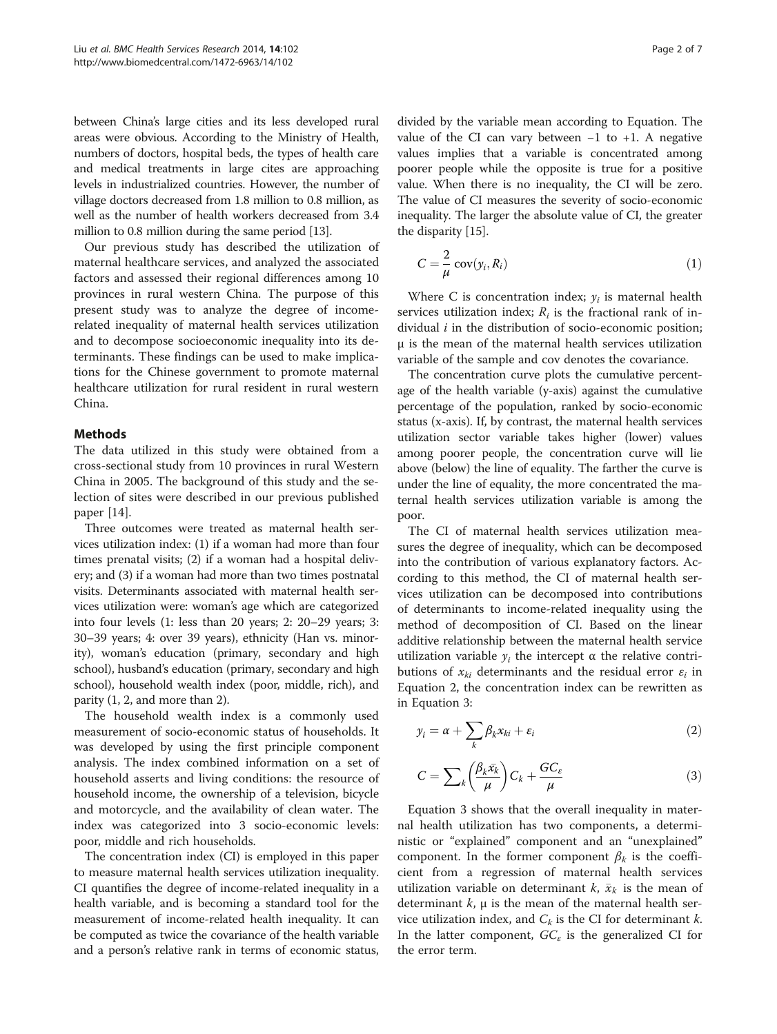between China's large cities and its less developed rural areas were obvious. According to the Ministry of Health, numbers of doctors, hospital beds, the types of health care and medical treatments in large cites are approaching levels in industrialized countries. However, the number of village doctors decreased from 1.8 million to 0.8 million, as well as the number of health workers decreased from 3.4 million to 0.8 million during the same period [\[13\]](#page-5-0).

Our previous study has described the utilization of maternal healthcare services, and analyzed the associated factors and assessed their regional differences among 10 provinces in rural western China. The purpose of this present study was to analyze the degree of incomerelated inequality of maternal health services utilization and to decompose socioeconomic inequality into its determinants. These findings can be used to make implications for the Chinese government to promote maternal healthcare utilization for rural resident in rural western China.

## Methods

The data utilized in this study were obtained from a cross-sectional study from 10 provinces in rural Western China in 2005. The background of this study and the selection of sites were described in our previous published paper [[14\]](#page-5-0).

Three outcomes were treated as maternal health services utilization index: (1) if a woman had more than four times prenatal visits; (2) if a woman had a hospital delivery; and (3) if a woman had more than two times postnatal visits. Determinants associated with maternal health services utilization were: woman's age which are categorized into four levels (1: less than 20 years; 2: 20–29 years; 3: 30–39 years; 4: over 39 years), ethnicity (Han vs. minority), woman's education (primary, secondary and high school), husband's education (primary, secondary and high school), household wealth index (poor, middle, rich), and parity (1, 2, and more than 2).

The household wealth index is a commonly used measurement of socio-economic status of households. It was developed by using the first principle component analysis. The index combined information on a set of household asserts and living conditions: the resource of household income, the ownership of a television, bicycle and motorcycle, and the availability of clean water. The index was categorized into 3 socio-economic levels: poor, middle and rich households.

The concentration index (CI) is employed in this paper to measure maternal health services utilization inequality. CI quantifies the degree of income-related inequality in a health variable, and is becoming a standard tool for the measurement of income-related health inequality. It can be computed as twice the covariance of the health variable and a person's relative rank in terms of economic status,

divided by the variable mean according to Equation. The value of the CI can vary between −1 to +1. A negative values implies that a variable is concentrated among poorer people while the opposite is true for a positive value. When there is no inequality, the CI will be zero. The value of CI measures the severity of socio-economic inequality. The larger the absolute value of CI, the greater the disparity [[15\]](#page-5-0).

$$
C = \frac{2}{\mu} \operatorname{cov}(y_i, R_i)
$$
 (1)

Where C is concentration index;  $y_i$  is maternal health services utilization index;  $R_i$  is the fractional rank of individual  $i$  in the distribution of socio-economic position; μ is the mean of the maternal health services utilization variable of the sample and cov denotes the covariance.

The concentration curve plots the cumulative percentage of the health variable (y-axis) against the cumulative percentage of the population, ranked by socio-economic status (x-axis). If, by contrast, the maternal health services utilization sector variable takes higher (lower) values among poorer people, the concentration curve will lie above (below) the line of equality. The farther the curve is under the line of equality, the more concentrated the maternal health services utilization variable is among the poor.

The CI of maternal health services utilization measures the degree of inequality, which can be decomposed into the contribution of various explanatory factors. According to this method, the CI of maternal health services utilization can be decomposed into contributions of determinants to income-related inequality using the method of decomposition of CI. Based on the linear additive relationship between the maternal health service utilization variable  $y_i$  the intercept  $\alpha$  the relative contributions of  $x_{ki}$  determinants and the residual error  $\varepsilon_i$  in Equation 2, the concentration index can be rewritten as in Equation 3:

$$
y_i = \alpha + \sum_k \beta_k x_{ki} + \varepsilon_i \tag{2}
$$

$$
C = \sum_{k} \left( \frac{\beta_k \bar{x_k}}{\mu} \right) C_k + \frac{GC_{\varepsilon}}{\mu} \tag{3}
$$

Equation 3 shows that the overall inequality in maternal health utilization has two components, a deterministic or "explained" component and an "unexplained" component. In the former component  $\beta_k$  is the coefficient from a regression of maternal health services utilization variable on determinant k,  $\bar{x}_k$  is the mean of determinant  $k$ ,  $\mu$  is the mean of the maternal health service utilization index, and  $C_k$  is the CI for determinant k. In the latter component,  $GC_{\varepsilon}$  is the generalized CI for the error term.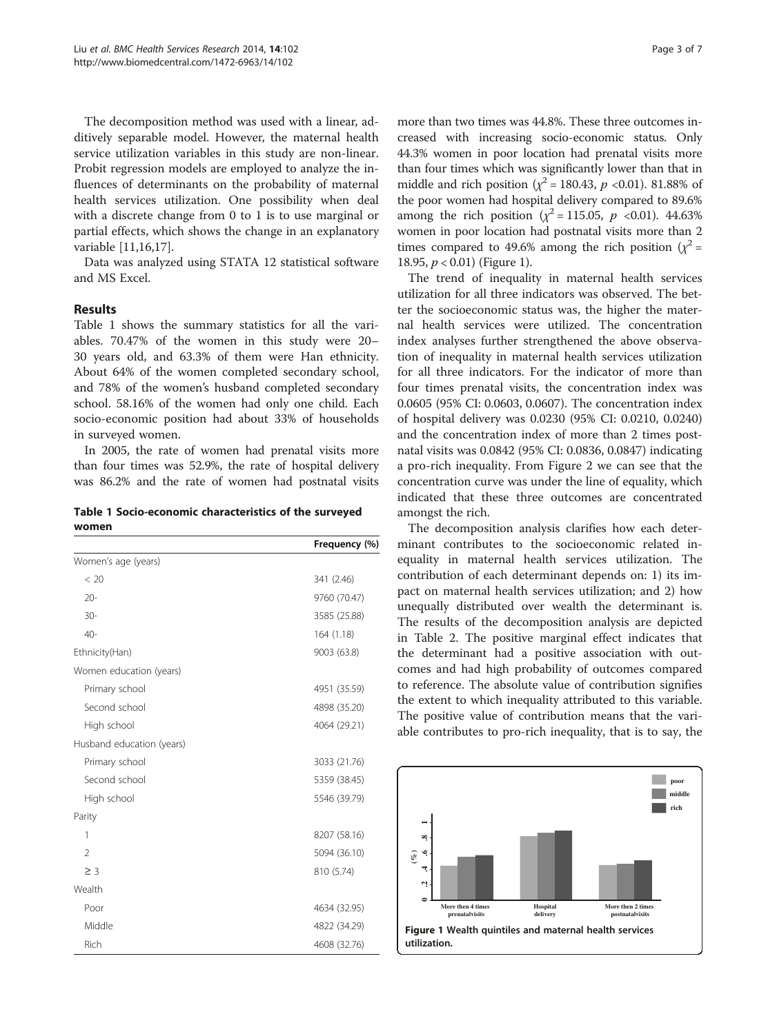The decomposition method was used with a linear, additively separable model. However, the maternal health service utilization variables in this study are non-linear. Probit regression models are employed to analyze the influences of determinants on the probability of maternal health services utilization. One possibility when deal with a discrete change from 0 to 1 is to use marginal or partial effects, which shows the change in an explanatory variable [\[11](#page-5-0)[,16,17](#page-6-0)].

Data was analyzed using STATA 12 statistical software and MS Excel.

### Results

Table 1 shows the summary statistics for all the variables. 70.47% of the women in this study were 20– 30 years old, and 63.3% of them were Han ethnicity. About 64% of the women completed secondary school, and 78% of the women's husband completed secondary school. 58.16% of the women had only one child. Each socio-economic position had about 33% of households in surveyed women.

In 2005, the rate of women had prenatal visits more than four times was 52.9%, the rate of hospital delivery was 86.2% and the rate of women had postnatal visits

Table 1 Socio-economic characteristics of the surveyed women

|                           | Frequency (%) |
|---------------------------|---------------|
| Women's age (years)       |               |
| < 20                      | 341 (2.46)    |
| $20 -$                    | 9760 (70.47)  |
| $30-$                     | 3585 (25.88)  |
| $40 -$                    | 164 (1.18)    |
| Ethnicity(Han)            | 9003 (63.8)   |
| Women education (years)   |               |
| Primary school            | 4951 (35.59)  |
| Second school             | 4898 (35.20)  |
| High school               | 4064 (29.21)  |
| Husband education (years) |               |
| Primary school            | 3033 (21.76)  |
| Second school             | 5359 (38.45)  |
| High school               | 5546 (39.79)  |
| Parity                    |               |
| 1                         | 8207 (58.16)  |
| 2                         | 5094 (36.10)  |
| $\geq$ 3                  | 810 (5.74)    |
| Wealth                    |               |
| Poor                      | 4634 (32.95)  |
| Middle                    | 4822 (34.29)  |
| Rich                      | 4608 (32.76)  |

more than two times was 44.8%. These three outcomes increased with increasing socio-economic status. Only 44.3% women in poor location had prenatal visits more than four times which was significantly lower than that in middle and rich position ( $\chi^2$  = 180.43, p <0.01). 81.88% of the poor women had hospital delivery compared to 89.6% among the rich position ( $\chi^2 = 115.05$ ,  $p \le 0.01$ ). 44.63% women in poor location had postnatal visits more than 2 times compared to 49.6% among the rich position  $\chi^2$  = 18.95,  $p < 0.01$ ) (Figure 1).

The trend of inequality in maternal health services utilization for all three indicators was observed. The better the socioeconomic status was, the higher the maternal health services were utilized. The concentration index analyses further strengthened the above observation of inequality in maternal health services utilization for all three indicators. For the indicator of more than four times prenatal visits, the concentration index was 0.0605 (95% CI: 0.0603, 0.0607). The concentration index of hospital delivery was 0.0230 (95% CI: 0.0210, 0.0240) and the concentration index of more than 2 times postnatal visits was 0.0842 (95% CI: 0.0836, 0.0847) indicating a pro-rich inequality. From Figure [2](#page-3-0) we can see that the concentration curve was under the line of equality, which indicated that these three outcomes are concentrated amongst the rich.

The decomposition analysis clarifies how each determinant contributes to the socioeconomic related inequality in maternal health services utilization. The contribution of each determinant depends on: 1) its impact on maternal health services utilization; and 2) how unequally distributed over wealth the determinant is. The results of the decomposition analysis are depicted in Table [2.](#page-4-0) The positive marginal effect indicates that the determinant had a positive association with outcomes and had high probability of outcomes compared to reference. The absolute value of contribution signifies the extent to which inequality attributed to this variable. The positive value of contribution means that the variable contributes to pro-rich inequality, that is to say, the

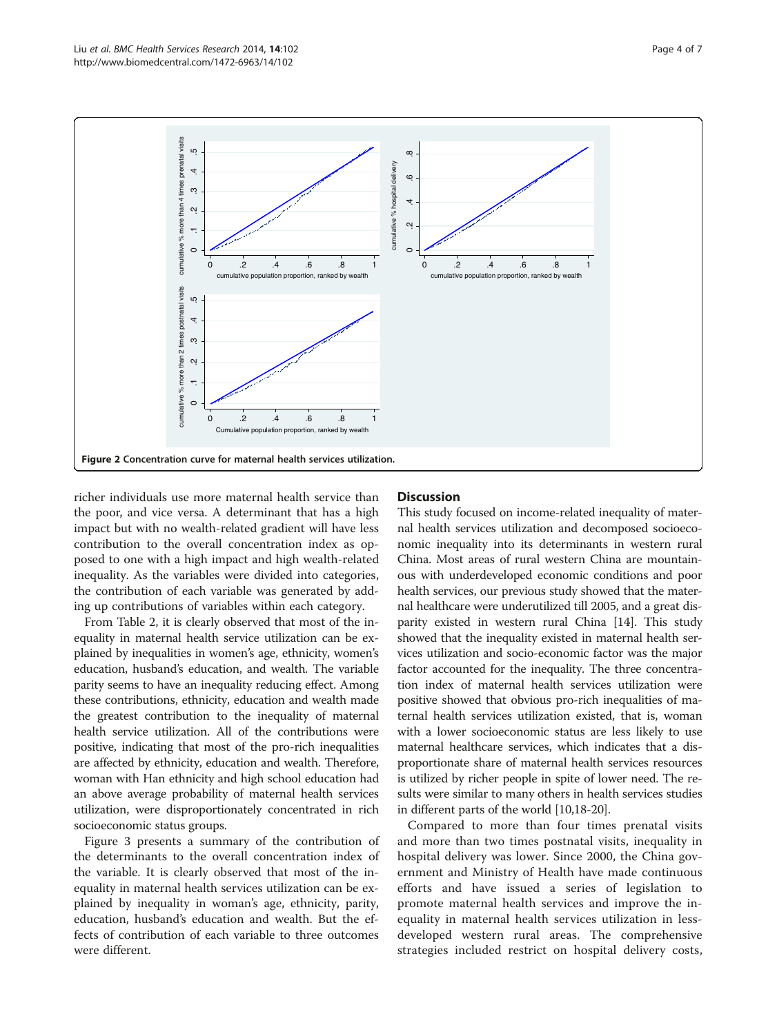<span id="page-3-0"></span>

richer individuals use more maternal health service than the poor, and vice versa. A determinant that has a high impact but with no wealth-related gradient will have less contribution to the overall concentration index as opposed to one with a high impact and high wealth-related inequality. As the variables were divided into categories, the contribution of each variable was generated by adding up contributions of variables within each category.

From Table [2](#page-4-0), it is clearly observed that most of the inequality in maternal health service utilization can be explained by inequalities in women's age, ethnicity, women's education, husband's education, and wealth. The variable parity seems to have an inequality reducing effect. Among these contributions, ethnicity, education and wealth made the greatest contribution to the inequality of maternal health service utilization. All of the contributions were positive, indicating that most of the pro-rich inequalities are affected by ethnicity, education and wealth. Therefore, woman with Han ethnicity and high school education had an above average probability of maternal health services utilization, were disproportionately concentrated in rich socioeconomic status groups.

Figure [3](#page-4-0) presents a summary of the contribution of the determinants to the overall concentration index of the variable. It is clearly observed that most of the inequality in maternal health services utilization can be explained by inequality in woman's age, ethnicity, parity, education, husband's education and wealth. But the effects of contribution of each variable to three outcomes were different.

## **Discussion**

This study focused on income-related inequality of maternal health services utilization and decomposed socioeconomic inequality into its determinants in western rural China. Most areas of rural western China are mountainous with underdeveloped economic conditions and poor health services, our previous study showed that the maternal healthcare were underutilized till 2005, and a great disparity existed in western rural China [\[14](#page-5-0)]. This study showed that the inequality existed in maternal health services utilization and socio-economic factor was the major factor accounted for the inequality. The three concentration index of maternal health services utilization were positive showed that obvious pro-rich inequalities of maternal health services utilization existed, that is, woman with a lower socioeconomic status are less likely to use maternal healthcare services, which indicates that a disproportionate share of maternal health services resources is utilized by richer people in spite of lower need. The results were similar to many others in health services studies in different parts of the world [\[10](#page-5-0)[,18-20\]](#page-6-0).

Compared to more than four times prenatal visits and more than two times postnatal visits, inequality in hospital delivery was lower. Since 2000, the China government and Ministry of Health have made continuous efforts and have issued a series of legislation to promote maternal health services and improve the inequality in maternal health services utilization in lessdeveloped western rural areas. The comprehensive strategies included restrict on hospital delivery costs,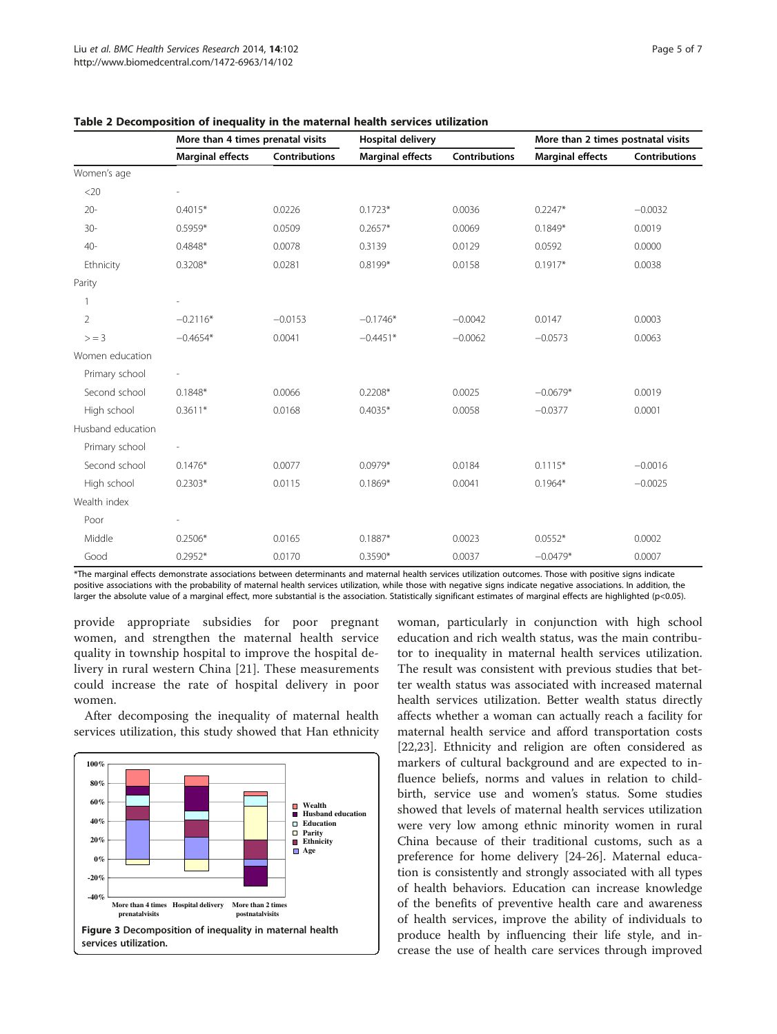|                   | More than 4 times prenatal visits |                      | <b>Hospital delivery</b> |                      | More than 2 times postnatal visits |                      |
|-------------------|-----------------------------------|----------------------|--------------------------|----------------------|------------------------------------|----------------------|
|                   | <b>Marginal effects</b>           | <b>Contributions</b> | <b>Marginal effects</b>  | <b>Contributions</b> | <b>Marginal effects</b>            | <b>Contributions</b> |
| Women's age       |                                   |                      |                          |                      |                                    |                      |
| $<$ 20            |                                   |                      |                          |                      |                                    |                      |
| $20 -$            | $0.4015*$                         | 0.0226               | $0.1723*$                | 0.0036               | $0.2247*$                          | $-0.0032$            |
| $30-$             | $0.5959*$                         | 0.0509               | $0.2657*$                | 0.0069               | $0.1849*$                          | 0.0019               |
| $40 -$            | 0.4848*                           | 0.0078               | 0.3139                   | 0.0129               | 0.0592                             | 0.0000               |
| Ethnicity         | $0.3208*$                         | 0.0281               | $0.8199*$                | 0.0158               | $0.1917*$                          | 0.0038               |
| Parity            |                                   |                      |                          |                      |                                    |                      |
|                   |                                   |                      |                          |                      |                                    |                      |
| $\overline{2}$    | $-0.2116*$                        | $-0.0153$            | $-0.1746*$               | $-0.0042$            | 0.0147                             | 0.0003               |
| > 3               | $-0.4654*$                        | 0.0041               | $-0.4451*$               | $-0.0062$            | $-0.0573$                          | 0.0063               |
| Women education   |                                   |                      |                          |                      |                                    |                      |
| Primary school    |                                   |                      |                          |                      |                                    |                      |
| Second school     | $0.1848*$                         | 0.0066               | $0.2208*$                | 0.0025               | $-0.0679*$                         | 0.0019               |
| High school       | $0.3611*$                         | 0.0168               | $0.4035*$                | 0.0058               | $-0.0377$                          | 0.0001               |
| Husband education |                                   |                      |                          |                      |                                    |                      |
| Primary school    | $\overline{\phantom{a}}$          |                      |                          |                      |                                    |                      |
| Second school     | $0.1476*$                         | 0.0077               | $0.0979*$                | 0.0184               | $0.1115*$                          | $-0.0016$            |
| High school       | $0.2303*$                         | 0.0115               | $0.1869*$                | 0.0041               | $0.1964*$                          | $-0.0025$            |
| Wealth index      |                                   |                      |                          |                      |                                    |                      |
| Poor              |                                   |                      |                          |                      |                                    |                      |
| Middle            | $0.2506*$                         | 0.0165               | $0.1887*$                | 0.0023               | $0.0552*$                          | 0.0002               |
| Good              | $0.2952*$                         | 0.0170               | $0.3590*$                | 0.0037               | $-0.0479*$                         | 0.0007               |

## <span id="page-4-0"></span>Table 2 Decomposition of inequality in the maternal health services utilization

\*The marginal effects demonstrate associations between determinants and maternal health services utilization outcomes. Those with positive signs indicate positive associations with the probability of maternal health services utilization, while those with negative signs indicate negative associations. In addition, the larger the absolute value of a marginal effect, more substantial is the association. Statistically significant estimates of marginal effects are highlighted (p<0.05).

provide appropriate subsidies for poor pregnant women, and strengthen the maternal health service quality in township hospital to improve the hospital delivery in rural western China [[21\]](#page-6-0). These measurements could increase the rate of hospital delivery in poor women.

After decomposing the inequality of maternal health services utilization, this study showed that Han ethnicity



woman, particularly in conjunction with high school education and rich wealth status, was the main contributor to inequality in maternal health services utilization. The result was consistent with previous studies that better wealth status was associated with increased maternal health services utilization. Better wealth status directly affects whether a woman can actually reach a facility for maternal health service and afford transportation costs [[22,23\]](#page-6-0). Ethnicity and religion are often considered as markers of cultural background and are expected to influence beliefs, norms and values in relation to childbirth, service use and women's status. Some studies showed that levels of maternal health services utilization were very low among ethnic minority women in rural China because of their traditional customs, such as a preference for home delivery [\[24-26](#page-6-0)]. Maternal education is consistently and strongly associated with all types of health behaviors. Education can increase knowledge of the benefits of preventive health care and awareness of health services, improve the ability of individuals to produce health by influencing their life style, and increase the use of health care services through improved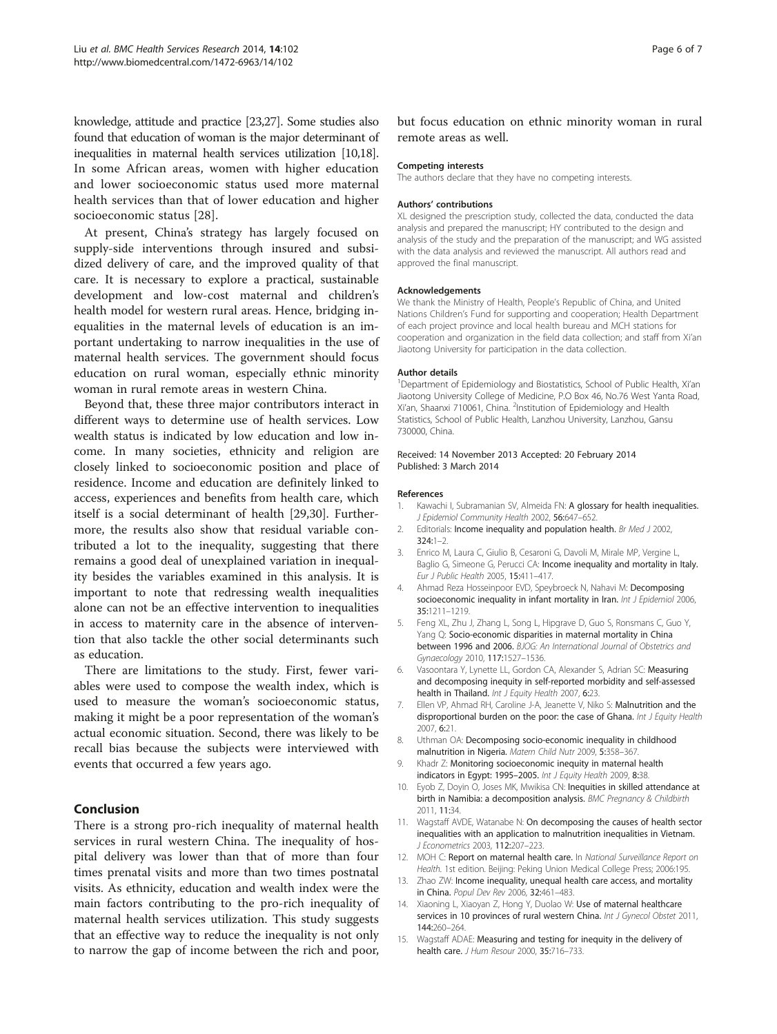<span id="page-5-0"></span>knowledge, attitude and practice [\[23,27](#page-6-0)]. Some studies also found that education of woman is the major determinant of inequalities in maternal health services utilization [10[,18](#page-6-0)]. In some African areas, women with higher education and lower socioeconomic status used more maternal health services than that of lower education and higher socioeconomic status [[28\]](#page-6-0).

At present, China's strategy has largely focused on supply-side interventions through insured and subsidized delivery of care, and the improved quality of that care. It is necessary to explore a practical, sustainable development and low-cost maternal and children's health model for western rural areas. Hence, bridging inequalities in the maternal levels of education is an important undertaking to narrow inequalities in the use of maternal health services. The government should focus education on rural woman, especially ethnic minority woman in rural remote areas in western China.

Beyond that, these three major contributors interact in different ways to determine use of health services. Low wealth status is indicated by low education and low income. In many societies, ethnicity and religion are closely linked to socioeconomic position and place of residence. Income and education are definitely linked to access, experiences and benefits from health care, which itself is a social determinant of health [\[29,30\]](#page-6-0). Furthermore, the results also show that residual variable contributed a lot to the inequality, suggesting that there remains a good deal of unexplained variation in inequality besides the variables examined in this analysis. It is important to note that redressing wealth inequalities alone can not be an effective intervention to inequalities in access to maternity care in the absence of intervention that also tackle the other social determinants such as education.

There are limitations to the study. First, fewer variables were used to compose the wealth index, which is used to measure the woman's socioeconomic status, making it might be a poor representation of the woman's actual economic situation. Second, there was likely to be recall bias because the subjects were interviewed with events that occurred a few years ago.

## Conclusion

There is a strong pro-rich inequality of maternal health services in rural western China. The inequality of hospital delivery was lower than that of more than four times prenatal visits and more than two times postnatal visits. As ethnicity, education and wealth index were the main factors contributing to the pro-rich inequality of maternal health services utilization. This study suggests that an effective way to reduce the inequality is not only to narrow the gap of income between the rich and poor, but focus education on ethnic minority woman in rural remote areas as well.

#### Competing interests

The authors declare that they have no competing interests.

#### Authors' contributions

XL designed the prescription study, collected the data, conducted the data analysis and prepared the manuscript; HY contributed to the design and analysis of the study and the preparation of the manuscript; and WG assisted with the data analysis and reviewed the manuscript. All authors read and approved the final manuscript.

#### Acknowledgements

We thank the Ministry of Health, People's Republic of China, and United Nations Children's Fund for supporting and cooperation; Health Department of each project province and local health bureau and MCH stations for cooperation and organization in the field data collection; and staff from Xi'an Jiaotong University for participation in the data collection.

#### Author details

<sup>1</sup>Department of Epidemiology and Biostatistics, School of Public Health, Xi'an Jiaotong University College of Medicine, P.O Box 46, No.76 West Yanta Road, Xi'an, Shaanxi 710061, China. <sup>2</sup>Institution of Epidemiology and Health Statistics, School of Public Health, Lanzhou University, Lanzhou, Gansu 730000, China.

#### Received: 14 November 2013 Accepted: 20 February 2014 Published: 3 March 2014

#### References

- 1. Kawachi I, Subramanian SV, Almeida FN: A glossary for health inequalities. J Epidemiol Community Health 2002, 56:647–652.
- 2. Editorials: Income inequality and population health. Br Med J 2002, 324:1–2.
- 3. Enrico M, Laura C, Giulio B, Cesaroni G, Davoli M, Mirale MP, Vergine L, Baglio G, Simeone G, Perucci CA: Income inequality and mortality in Italy. Eur J Public Health 2005, 15:411–417.
- 4. Ahmad Reza Hosseinpoor EVD, Speybroeck N, Nahavi M: Decomposing socioeconomic inequality in infant mortality in Iran. Int J Epidemiol 2006, 35:1211–1219.
- 5. Feng XL, Zhu J, Zhang L, Song L, Hipgrave D, Guo S, Ronsmans C, Guo Y, Yang Q: Socio-economic disparities in maternal mortality in China between 1996 and 2006. BJOG: An International Journal of Obstetrics and Gynaecology 2010, 117:1527–1536.
- 6. Vasoontara Y, Lynette LL, Gordon CA, Alexander S, Adrian SC: Measuring and decomposing inequity in self-reported morbidity and self-assessed health in Thailand. Int J Equity Health 2007, 6:23.
- 7. Ellen VP, Ahmad RH, Caroline J-A, Jeanette V, Niko S: Malnutrition and the disproportional burden on the poor: the case of Ghana. Int J Equity Health 2007, 6:21.
- 8. Uthman OA: Decomposing socio-economic inequality in childhood malnutrition in Nigeria. Matern Child Nutr 2009, 5:358–367.
- 9. Khadr Z: Monitoring socioeconomic inequity in maternal health indicators in Egypt: 1995-2005. Int J Equity Health 2009, 8:38.
- 10. Eyob Z, Doyin O, Joses MK, Mwikisa CN: Inequities in skilled attendance at birth in Namibia: a decomposition analysis. BMC Pregnancy & Childbirth 2011, 11:34.
- 11. Wagstaff AVDE, Watanabe N: On decomposing the causes of health sector inequalities with an application to malnutrition inequalities in Vietnam. J Econometrics 2003, 112:207–223.
- 12. MOH C: Report on maternal health care. In National Surveillance Report on Health. 1st edition. Beijing: Peking Union Medical College Press; 2006:195.
- 13. Zhao ZW: Income inequality, unequal health care access, and mortality in China. Popul Dev Rev 2006, 32:461–483.
- 14. Xiaoning L, Xiaoyan Z, Hong Y, Duolao W: Use of maternal healthcare services in 10 provinces of rural western China. Int J Gynecol Obstet 2011, 144:260–264.
- 15. Wagstaff ADAE: Measuring and testing for inequity in the delivery of health care. J Hum Resour 2000, 35:716-733.